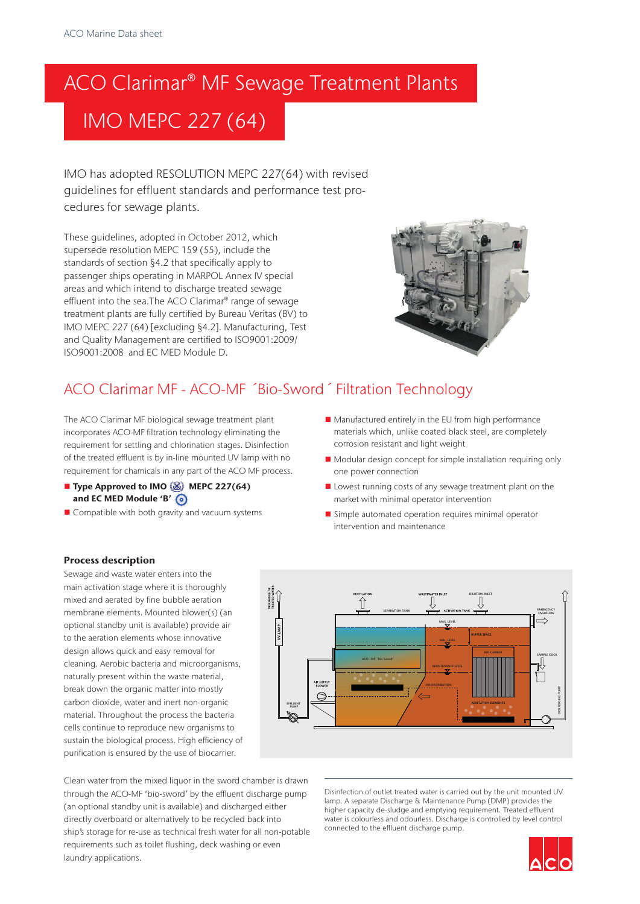# ACO Clarimar® MF Sewage Treatment Plants IMO MEPC 227 (64)

IMO has adopted RESOLUTION MEPC 227(64) with revised guidelines for effluent standards and performance test procedures for sewage plants.

These guidelines, adopted in October 2012, which supersede resolution MEPC 159 (55), include the standards of section §4.2 that specifically apply to passenger ships operating in MARPOL Annex IV special areas and which intend to discharge treated sewage effluent into the sea.The ACO Clarimar® range of sewage treatment plants are fully certified by Bureau Veritas (BV) to IMO MEPC 227 (64) [excluding §4.2]. Manufacturing, Test and Quality Management are certified to ISO9001:2009/ ISO9001:2008 and EC MED Module D.



# ACO Clarimar MF - ACO-MF ´Bio-Sword´ Filtration Technology

The ACO Clarimar MF biological sewage treatment plant incorporates ACO-MF filtration technology eliminating the requirement for settling and chlorination stages. Disinfection of the treated effluent is by in-line mounted UV lamp with no requirement for chamicals in any part of the ACO MF process.

- **n** Type Approved to IMO  $\langle \mathcal{L} \rangle$  MEPC 227(64) and EC MED Module 'B'
- $\blacksquare$  Compatible with both gravity and vacuum systems
- $\blacksquare$  Manufactured entirely in the EU from high performance materials which, unlike coated black steel, are completely corrosion resistant and light weight
- Modular design concept for simple installation requiring only one power connection
- **n** Lowest running costs of any sewage treatment plant on the market with minimal operator intervention
- $\blacksquare$  Simple automated operation requires minimal operator intervention and maintenance

#### Process description

Sewage and waste water enters into the main activation stage where it is thoroughly mixed and aerated by fine bubble aeration membrane elements. Mounted blower(s) (an optional standby unit is available) provide air to the aeration elements whose innovative design allows quick and easy removal for cleaning. Aerobic bacteria and microorganisms, naturally present within the waste material, break down the organic matter into mostly carbon dioxide, water and inert non-organic material. Throughout the process the bacteria cells continue to reproduce new organisms to sustain the biological process. High efficiency of purification is ensured by the use of biocarrier.



Clean water from the mixed liquor in the sword chamber is drawn through the ACO-MF 'bio-sword' by the effluent discharge pump (an optional standby unit is available) and discharged either directly overboard or alternatively to be recycled back into ship's storage for re-use as technical fresh water for all non-potable requirements such as toilet flushing, deck washing or even laundry applications.

Disinfection of outlet treated water is carried out by the unit mounted UV lamp. A separate Discharge & Maintenance Pump (DMP) provides the higher capacity de-sludge and emptying requirement. Treated effluent water is colourless and odourless. Discharge is controlled by level control connected to the effluent discharge pump.